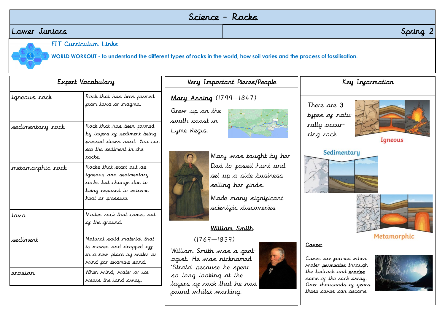## Science - Rocks

## Lower Juniors Spring 2



FIT Curriculum Links

**WORLD WORKOUT - to understand the different types of rocks in the world, how soil varies and the process of fossilisation.**

| Expert Vocabulary |                                                                                                                                | Very Important Pieces/People                                                                                              | Key Incarmation                                                                                              |  |
|-------------------|--------------------------------------------------------------------------------------------------------------------------------|---------------------------------------------------------------------------------------------------------------------------|--------------------------------------------------------------------------------------------------------------|--|
| igneous rock      | Rock that has been cormed<br>cron lava or nagna.                                                                               | Mary Anning (1799-1847)<br>Grew up on the<br>south coast in                                                               | There are 3<br>types of natu-                                                                                |  |
| sedimentary rock  | Rock that has been cormed<br>by layers of sediment being<br>pressed down hard. You can<br>see the sediment in the<br>rocks.    | Lyme Regis.<br>Mary was taught by her                                                                                     | rally occur-<br>ring rock.<br>Igneous<br>Sedimentary                                                         |  |
| metamorphic rock  | Rocks that start out as<br>igneous and sedimentary<br>rocks but change due to<br>being exposed to extreme<br>heat or pressure. | Dad to cossil hunt and<br>set up a side business<br>selling her cinds.<br>Made many signicicant<br>scienticic discoveries |                                                                                                              |  |
| tava              | Molter rock that comes out<br>of the ground.                                                                                   | William Smith                                                                                                             |                                                                                                              |  |
| sediment          | Natural solid material that<br>is moved and dropped off<br>in a new place by water or<br>wind cor example sand.                | $(1769 - 1839)$<br>William Smith was a geol-<br>ogist. He was ricknamed                                                   | Metamorphic<br>Caves:<br>Caves are cormed when<br>water <b>permeates</b> through                             |  |
| erosion           | When wind, water or ice<br>wears the land away.                                                                                | 'Strata' because he spent<br>so long looking at the<br>layers of rock that he had<br>cound whilst working.                | the bedrock and <b>erodes</b><br>some of the rock away.<br>Over thousands of years<br>these caves can become |  |